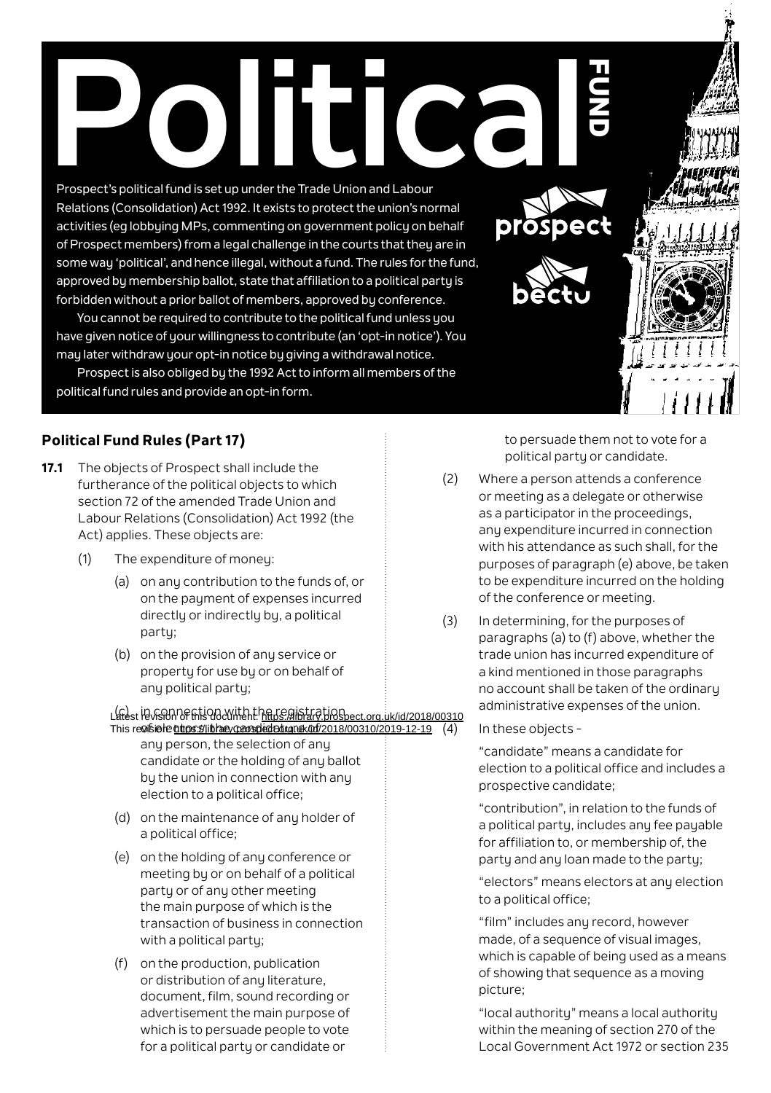# Prospect's political fund is set up under the Trade Union and Labour

Prospect's political fund is set up under the Trade Union and Labour Relations (Consolidation) Act 1992. It exists to protect the union's normal activities (eg lobbying MPs, commenting on government policy on behalf of Prospect members) from a legal challenge in the courts that they are in some way 'political', and hence illegal, without a fund. The rules for the fund, approved by membership ballot, state that affiliation to a political party is forbidden without a prior ballot of members, approved by conference.

You cannot be required to contribute to the political fund unless you have given notice of your willingness to contribute (an 'opt-in notice'). You may later withdraw your opt-in notice by giving a withdrawal notice.

Prospect is also obliged by the 1992 Act to inform all members of the political fund rules and provide an opt-in form.

# **Political Fund Rules (Part 17)**

- **17.1** The objects of Prospect shall include the furtherance of the political objects to which section 72 of the amended Trade Union and Labour Relations (Consolidation) Act 1992 (the Act) applies. These objects are:
	- (1) The expenditure of money:
		- (a) on any contribution to the funds of, or on the payment of expenses incurred directly or indirectly by, a political party;
		- (b) on the provision of any service or property for use by or on behalf of any political party;

#### Latest ID vs D N OF this document: https://library.prospect.org.uk/id/2018/00310 This re@isielde@thoss%/librare/coansplededstan@k/0df/2018/00310/2019-12-19

- any person, the selection of any candidate or the holding of any ballot by the union in connection with any election to a political office;
- (d) on the maintenance of any holder of a political office;
- (e) on the holding of any conference or meeting by or on behalf of a political party or of any other meeting the main purpose of which is the transaction of business in connection with a political partu-
- (f) on the production, publication or distribution of any literature. document, film, sound recording or advertisement the main purpose of which is to persuade people to vote for a political party or candidate or

to persuade them not to vote for a political party or candidate.

**FUND** 

- (2) Where a person attends a conference or meeting as a delegate or otherwise as a participator in the proceedings, any expenditure incurred in connection with his attendance as such shall, for the purposes of paragraph (e) above, be taken to be expenditure incurred on the holding of the conference or meeting.
- (3) In determining, for the purposes of paragraphs (a) to (f) above, whether the trade union has incurred expenditure of a kind mentioned in those paragraphs no account shall be taken of the ordinary administrative expenses of the union.

In these objects -

 "candidate" means a candidate for election to a political office and includes a prospective candidate;

 "contribution", in relation to the funds of a political party, includes any fee payable for affiliation to, or membership of, the party and any loan made to the party;

 "electors" means electors at any election to a political office;

 "film" includes any record, however made, of a sequence of visual images, which is capable of being used as a means of showing that sequence as a moving picture;

 "local authority" means a local authority within the meaning of section 270 of the Local Government Act 1972 or section 235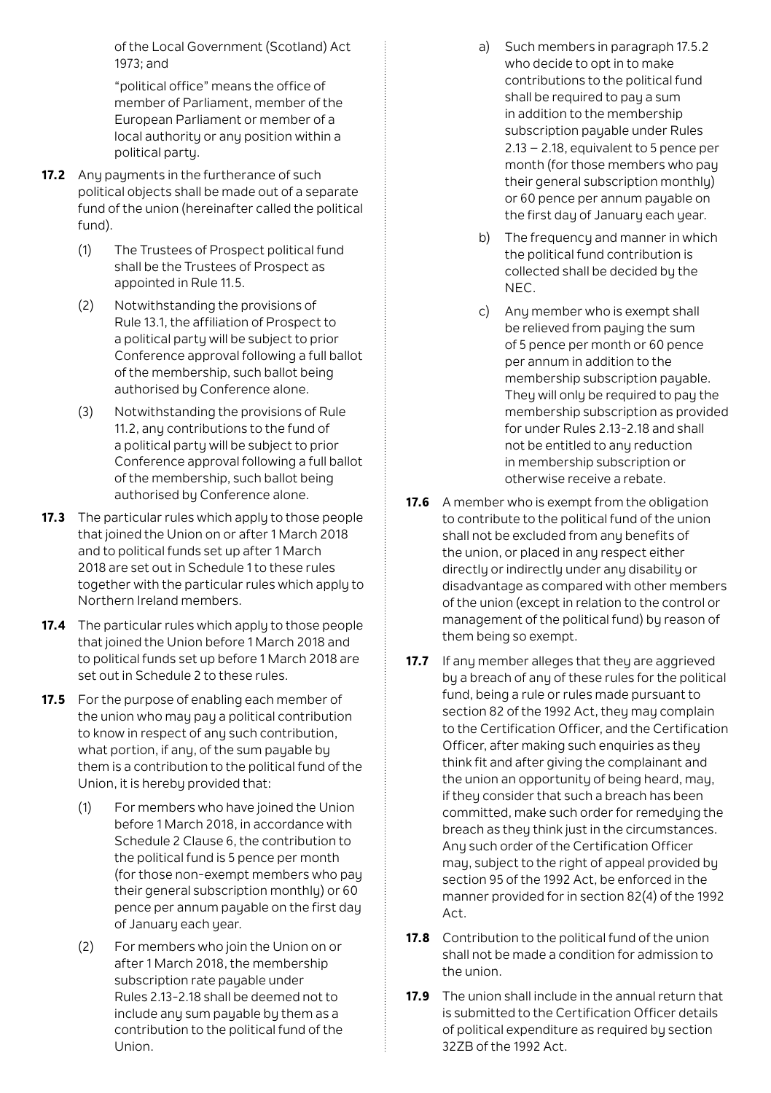of the Local Government (Scotland) Act 1973; and

 "political office" means the office of member of Parliament, member of the European Parliament or member of a local authority or any position within a political party.

- **17.2** Any payments in the furtherance of such political objects shall be made out of a separate fund of the union (hereinafter called the political fund).
	- (1) The Trustees of Prospect political fund shall be the Trustees of Prospect as appointed in Rule 11.5.
	- (2) Notwithstanding the provisions of Rule 13.1, the affiliation of Prospect to a political party will be subject to prior Conference approval following a full ballot of the membership, such ballot being authorised by Conference alone.
	- (3) Notwithstanding the provisions of Rule 11.2, any contributions to the fund of a political party will be subject to prior Conference approval following a full ballot of the membership, such ballot being authorised by Conference alone.
- **17.3** The particular rules which apply to those people that joined the Union on or after 1 March 2018 and to political funds set up after 1 March 2018 are set out in Schedule 1 to these rules together with the particular rules which apply to Northern Ireland members.
- **17.4** The particular rules which apply to those people that joined the Union before 1 March 2018 and to political funds set up before 1 March 2018 are set out in Schedule 2 to these rules.
- **17.5** For the purpose of enabling each member of the union who may pay a political contribution to know in respect of any such contribution, what portion, if any, of the sum payable by them is a contribution to the political fund of the Union, it is hereby provided that:
	- (1) For members who have joined the Union before 1 March 2018, in accordance with Schedule 2 Clause 6, the contribution to the political fund is 5 pence per month (for those non-exempt members who pay their general subscription monthly) or 60 pence per annum payable on the first day of January each year.
	- (2) For members who join the Union on or after 1 March 2018, the membership subscription rate pauable under Rules 2.13-2.18 shall be deemed not to include any sum payable by them as a contribution to the political fund of the Union.
- a) Such members in paragraph 17.5.2 who decide to opt in to make contributions to the political fund shall be required to pay a sum in addition to the membership subscription payable under Rules 2.13 – 2.18, equivalent to 5 pence per month (for those members who pay their general subscription monthly) or 60 pence per annum payable on the first day of January each year.
- b) The frequency and manner in which the political fund contribution is collected shall be decided by the NEC.
- c) Any member who is exempt shall be relieved from pauing the sum of 5 pence per month or 60 pence per annum in addition to the membership subscription payable. They will only be required to pay the membership subscription as provided for under Rules 2.13-2.18 and shall not be entitled to any reduction in membership subscription or otherwise receive a rebate.
- **17.6** A member who is exempt from the obligation to contribute to the political fund of the union shall not be excluded from any benefits of the union, or placed in any respect either directly or indirectly under any disability or disadvantage as compared with other members of the union (except in relation to the control or management of the political fund) by reason of them being so exempt.
- 17.7 If any member alleges that they are aggrieved by a breach of any of these rules for the political fund, being a rule or rules made pursuant to section 82 of the 1992 Act, they may complain to the Certification Officer, and the Certification Officer, after making such enquiries as they think fit and after giving the complainant and the union an opportunity of being heard, may, if they consider that such a breach has been committed, make such order for remedying the breach as they think just in the circumstances. Any such order of the Certification Officer may, subject to the right of appeal provided by section 95 of the 1992 Act, be enforced in the manner provided for in section 82(4) of the 1992 Act.
- **17.8** Contribution to the political fund of the union shall not be made a condition for admission to the union.
- **17.9** The union shall include in the annual return that is submitted to the Certification Officer details of political expenditure as required by section 32ZB of the 1992 Act.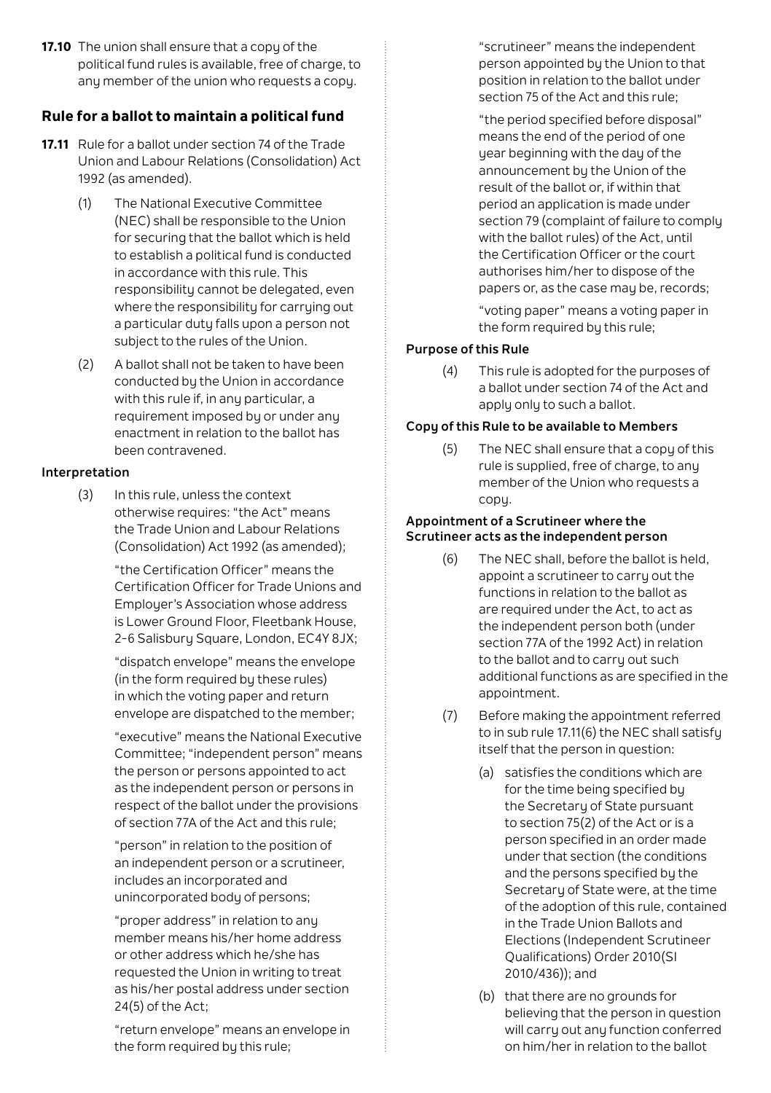**17.10** The union shall ensure that a copu of the political fund rules is available, free of charge, to any member of the union who requests a copul

# **Rule for a ballot to maintain a political fund**

- **17.11** Rule for a ballot under section 74 of the Trade Union and Labour Relations (Consolidation) Act 1992 (as amended).
	- (1) The National Executive Committee (NEC) shall be responsible to the Union for securing that the ballot which is held to establish a political fund is conducted in accordance with this rule. This responsibility cannot be delegated, even where the responsibility for carrying out a particular dutu falls upon a person not subject to the rules of the Union.
	- (2) A ballot shall not be taken to have been conducted by the Union in accordance with this rule if, in any particular, a requirement imposed by or under any enactment in relation to the ballot has been contravened.

#### **Interpretation**

(3) In this rule, unless the context otherwise requires: "the Act" means the Trade Union and Labour Relations (Consolidation) Act 1992 (as amended);

> "the Certification Officer" means the Certification Officer for Trade Unions and Employer's Association whose address is Lower Ground Floor, Fleetbank House, 2-6 Salisbury Square, London, EC4Y 8JX;

 "dispatch envelope" means the envelope (in the form required by these rules) in which the voting paper and return envelope are dispatched to the member;

 "executive" means the National Executive Committee; "independent person" means the person or persons appointed to act as the independent person or persons in respect of the ballot under the provisions of section 77A of the Act and this rule;

 "person" in relation to the position of an independent person or a scrutineer, includes an incorporated and unincorporated body of persons;

 "proper address" in relation to any member means his/her home address or other address which he/she has requested the Union in writing to treat as his/her postal address under section 24(5) of the Act;

 "return envelope" means an envelope in the form required by this rule;

 "scrutineer" means the independent person appointed by the Union to that position in relation to the ballot under section 75 of the Act and this rule;

 "the period specified before disposal" means the end of the period of one year beginning with the day of the announcement by the Union of the result of the ballot or, if within that period an application is made under section 79 (complaint of failure to comply with the ballot rules) of the Act, until the Certification Officer or the court authorises him/her to dispose of the papers or, as the case may be, records;

 "voting paper" means a voting paper in the form required by this rule;

### **Purpose of this Rule**

(4) This rule is adopted for the purposes of a ballot under section 74 of the Act and apply only to such a ballot.

#### **Copy of this Rule to be available to Members**

(5) The NEC shall ensure that a copy of this rule is supplied, free of charge, to any member of the Union who requests a copy.

#### **Appointment of a Scrutineer where the Scrutineer acts as the independent person**

- (6) The NEC shall, before the ballot is held, appoint a scrutineer to carry out the functions in relation to the ballot as are required under the Act, to act as the independent person both (under section 77A of the 1992 Act) in relation to the ballot and to carru out such additional functions as are specified in the appointment.
- (7) Before making the appointment referred to in sub rule 17.11(6) the NEC shall satisfy itself that the person in question:
	- (a) satisfies the conditions which are for the time being specified by the Secretary of State pursuant to section 75(2) of the Act or is a person specified in an order made under that section (the conditions and the persons specified by the Secretary of State were, at the time of the adoption of this rule, contained in the Trade Union Ballots and Elections (Independent Scrutineer Qualifications) Order 2010(SI 2010/436)); and
	- (b) that there are no grounds for believing that the person in question will carru out any function conferred on him/her in relation to the ballot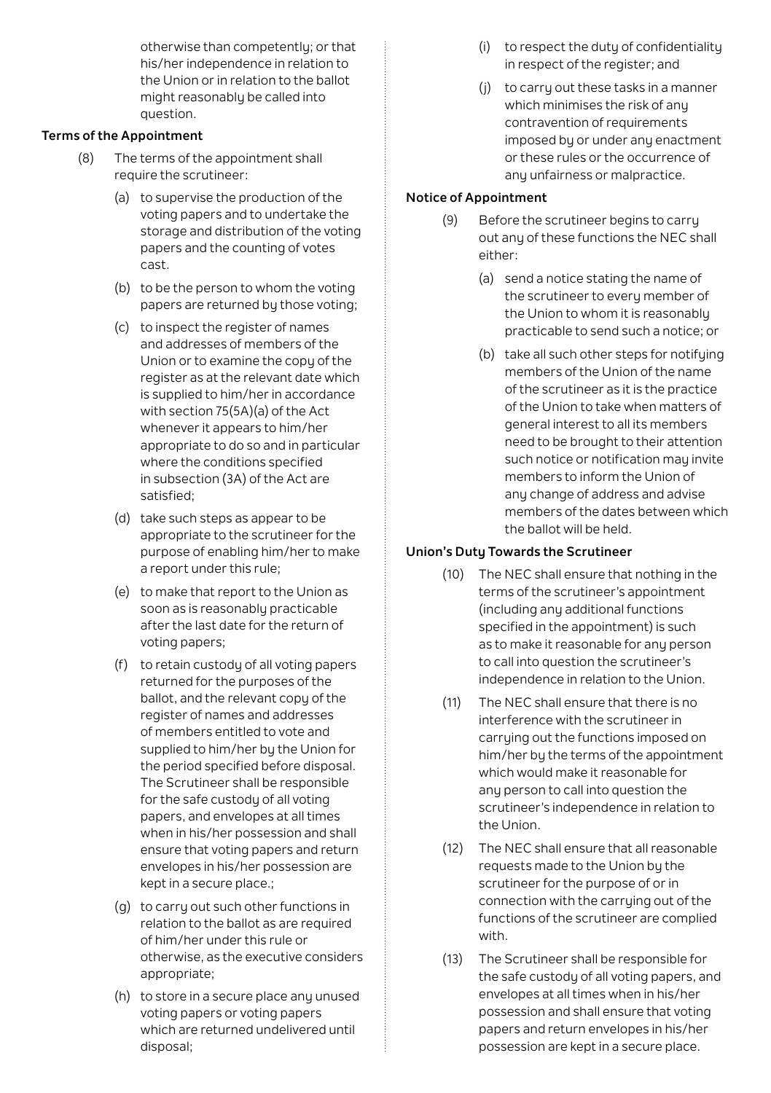otherwise than competently; or that his/her independence in relation to the Union or in relation to the ballot might reasonably be called into question.

# **Terms of the Appointment**

- (8) The terms of the appointment shall require the scrutineer:
	- (a) to supervise the production of the voting papers and to undertake the storage and distribution of the voting papers and the counting of votes cast.
	- (b) to be the person to whom the voting papers are returned by those voting;
	- (c) to inspect the register of names and addresses of members of the Union or to examine the copy of the register as at the relevant date which is supplied to him/her in accordance with section 75(5A)(a) of the Act whenever it appears to him/her appropriate to do so and in particular where the conditions specified in subsection (3A) of the Act are satisfied;
	- (d) take such steps as appear to be appropriate to the scrutineer for the purpose of enabling him/her to make a report under this rule;
	- (e) to make that report to the Union as soon as is reasonably practicable after the last date for the return of voting papers;
	- (f) to retain custodu of all voting papers returned for the purposes of the ballot, and the relevant copy of the register of names and addresses of members entitled to vote and supplied to him/her bu the Union for the period specified before disposal. The Scrutineer shall be responsible for the safe custody of all voting papers, and envelopes at all times when in his/her possession and shall ensure that voting papers and return envelopes in his/her possession are kept in a secure place.;
	- (g) to carry out such other functions in relation to the ballot as are required of him/her under this rule or otherwise, as the executive considers appropriate;
	- (h) to store in a secure place any unused voting papers or voting papers which are returned undelivered until disposal;
- (i) to respect the dutu of confidentialitu in respect of the register; and
- (j) to carry out these tasks in a manner which minimises the risk of any contravention of requirements imposed by or under any enactment or these rules or the occurrence of any unfairness or malpractice.

# **Notice of Appointment**

- (9) Before the scrutineer begins to carry out any of these functions the NEC shall either:
	- (a) send a notice stating the name of the scrutineer to every member of the Union to whom it is reasonably practicable to send such a notice; or
	- (b) take all such other steps for notifying members of the Union of the name of the scrutineer as it is the practice of the Union to take when matters of general interest to all its members need to be brought to their attention such notice or notification may invite members to inform the Union of any change of address and advise members of the dates between which the ballot will be held.

# **Union's Duty Towards the Scrutineer**

- (10) The NEC shall ensure that nothing in the terms of the scrutineer's appointment (including any additional functions specified in the appointment) is such as to make it reasonable for any person to call into question the scrutineer's independence in relation to the Union.
- (11) The NEC shall ensure that there is no interference with the scrutineer in carruing out the functions imposed on him/her by the terms of the appointment which would make it reasonable for any person to call into question the scrutineer's independence in relation to the Union.
- (12) The NEC shall ensure that all reasonable requests made to the Union by the scrutineer for the purpose of or in connection with the carrying out of the functions of the scrutineer are complied with.
- (13) The Scrutineer shall be responsible for the safe custody of all voting papers, and envelopes at all times when in his/her possession and shall ensure that voting papers and return envelopes in his/her possession are kept in a secure place.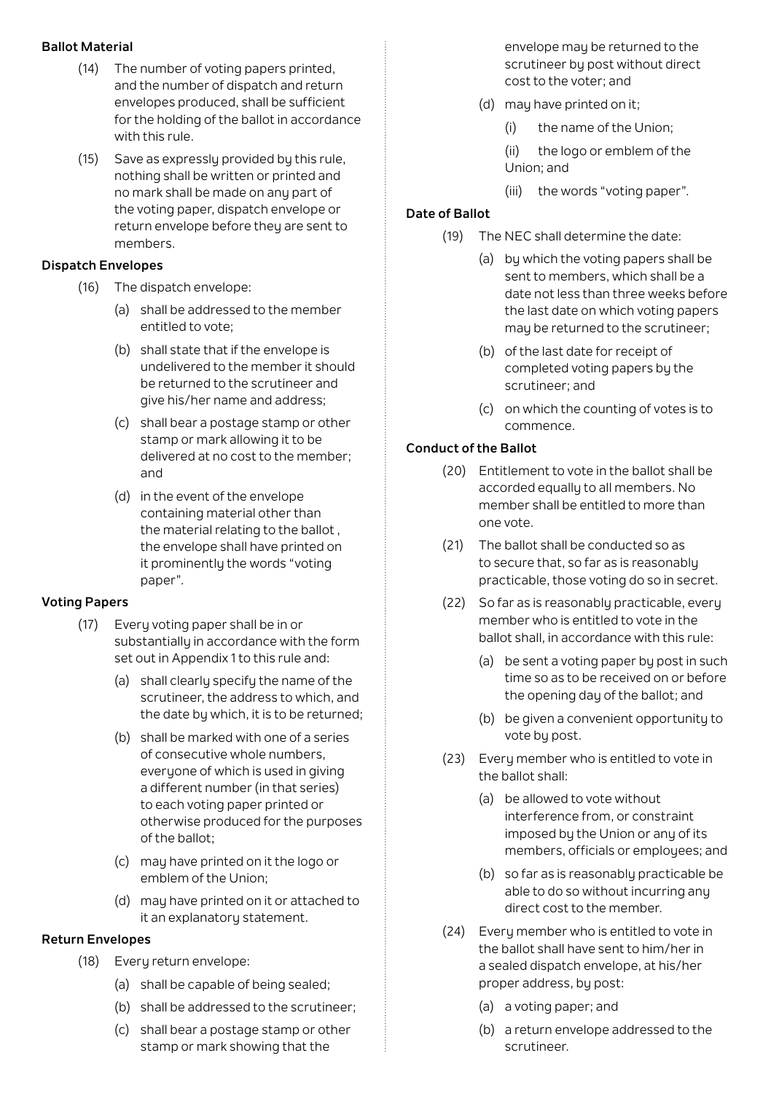### **Ballot Material**

- (14) The number of voting papers printed, and the number of dispatch and return envelopes produced, shall be sufficient for the holding of the ballot in accordance with this rule.
- (15) Save as expressly provided by this rule, nothing shall be written or printed and no mark shall be made on any part of the voting paper, dispatch envelope or return envelope before they are sent to members.

#### **Dispatch Envelopes**

- (16) The dispatch envelope:
	- (a) shall be addressed to the member entitled to vote;
	- (b) shall state that if the envelope is undelivered to the member it should be returned to the scrutineer and give his/her name and address;
	- (c) shall bear a postage stamp or other stamp or mark allowing it to be delivered at no cost to the member; and
	- (d) in the event of the envelope containing material other than the material relating to the ballot , the envelope shall have printed on it prominently the words "voting paper".

#### **Voting Papers**

- (17) Every voting paper shall be in or substantially in accordance with the form set out in Appendix 1 to this rule and:
	- (a) shall clearly specify the name of the scrutineer, the address to which, and the date by which, it is to be returned;
	- (b) shall be marked with one of a series of consecutive whole numbers, everyone of which is used in giving a different number (in that series) to each voting paper printed or otherwise produced for the purposes of the ballot;
	- (c) may have printed on it the logo or emblem of the Union;
	- (d) may have printed on it or attached to it an explanatory statement.

# **Return Envelopes**

- (18) Every return envelope:
	- (a) shall be capable of being sealed;
	- (b) shall be addressed to the scrutineer;
	- (c) shall bear a postage stamp or other stamp or mark showing that the

envelope may be returned to the scrutineer by post without direct cost to the voter; and

- (d) may have printed on it;
	- (i) the name of the Union;
	- (ii) the logo or emblem of the Union; and
	- (iii) the words "voting paper".

# **Date of Ballot**

- (19) The NEC shall determine the date:
	- (a) by which the voting papers shall be sent to members, which shall be a date not less than three weeks before the last date on which voting papers may be returned to the scrutineer;
	- (b) of the last date for receipt of completed voting papers by the scrutineer; and
	- (c) on which the counting of votes is to commence.

# **Conduct of the Ballot**

- (20) Entitlement to vote in the ballot shall be accorded equally to all members. No member shall be entitled to more than one vote.
- (21) The ballot shall be conducted so as to secure that, so far as is reasonably practicable, those voting do so in secret.
- (22) So far as is reasonably practicable, every member who is entitled to vote in the ballot shall, in accordance with this rule:
	- (a) be sent a voting paper by post in such time so as to be received on or before the opening day of the ballot; and
	- (b) be given a convenient opportunity to vote by post.
- (23) Every member who is entitled to vote in the ballot shall:
	- (a) be allowed to vote without interference from, or constraint imposed by the Union or any of its members, officials or employees; and
	- (b) so far as is reasonably practicable be able to do so without incurring any direct cost to the member.
- (24) Every member who is entitled to vote in the ballot shall have sent to him/her in a sealed dispatch envelope, at his/her proper address, by post:
	- (a) a voting paper; and
	- (b) a return envelope addressed to the scrutineer.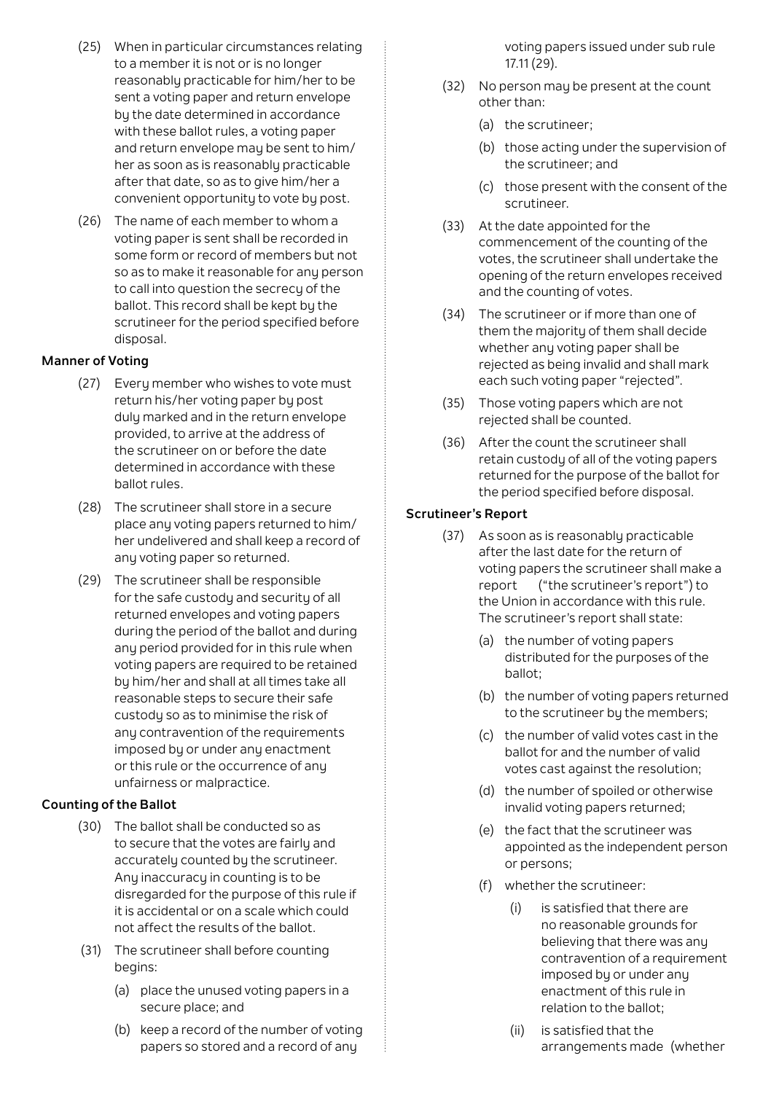- (25) When in particular circumstances relating to a member it is not or is no longer reasonably practicable for him/her to be sent a voting paper and return envelope by the date determined in accordance with these ballot rules, a voting paper and return envelope may be sent to him/ her as soon as is reasonably practicable after that date, so as to give him/her a convenient opportunity to vote by post.
- (26) The name of each member to whom a voting paper is sent shall be recorded in some form or record of members but not so as to make it reasonable for any person to call into question the secrecy of the ballot. This record shall be kept by the scrutineer for the period specified before disposal.

## **Manner of Voting**

- (27) Every member who wishes to vote must return his/her voting paper by post duly marked and in the return envelope provided, to arrive at the address of the scrutineer on or before the date determined in accordance with these ballot rules.
- (28) The scrutineer shall store in a secure place any voting papers returned to him/ her undelivered and shall keep a record of any voting paper so returned.
- (29) The scrutineer shall be responsible for the safe custodu and securitu of all returned envelopes and voting papers during the period of the ballot and during any period provided for in this rule when voting papers are required to be retained by him/her and shall at all times take all reasonable steps to secure their safe custody so as to minimise the risk of any contravention of the requirements imposed bu or under any enactment or this rule or the occurrence of any unfairness or malpractice.

# **Counting of the Ballot**

- (30) The ballot shall be conducted so as to secure that the votes are fairly and accurately counted by the scrutineer. Any inaccuracy in counting is to be disregarded for the purpose of this rule if it is accidental or on a scale which could not affect the results of the ballot.
- (31) The scrutineer shall before counting begins:
	- (a) place the unused voting papers in a secure place; and
	- (b) keep a record of the number of voting papers so stored and a record of any

voting papers issued under sub rule 17.11 (29).

- (32) No person may be present at the count other than:
	- (a) the scrutineer;
	- (b) those acting under the supervision of the scrutineer; and
	- (c) those present with the consent of the scrutineer.
- (33) At the date appointed for the commencement of the counting of the votes, the scrutineer shall undertake the opening of the return envelopes received and the counting of votes.
- (34) The scrutineer or if more than one of them the majority of them shall decide whether any voting paper shall be rejected as being invalid and shall mark each such voting paper "rejected".
- (35) Those voting papers which are not rejected shall be counted.
- (36) After the count the scrutineer shall retain custody of all of the voting papers returned for the purpose of the ballot for the period specified before disposal.

### **Scrutineer's Report**

- (37) As soon as is reasonably practicable after the last date for the return of voting papers the scrutineer shall make a report ("the scrutineer's report") to the Union in accordance with this rule. The scrutineer's report shall state:
	- (a) the number of voting papers distributed for the purposes of the ballot;
	- (b) the number of voting papers returned to the scrutineer by the members;
	- (c) the number of valid votes cast in the ballot for and the number of valid votes cast against the resolution;
	- (d) the number of spoiled or otherwise invalid voting papers returned;
	- (e) the fact that the scrutineer was appointed as the independent person or persons;
	- (f) whether the scrutineer:
		- (i) is satisfied that there are no reasonable grounds for believing that there was any contravention of a requirement imposed by or under any enactment of this rule in relation to the ballot;
		- (ii) is satisfied that the arrangements made (whether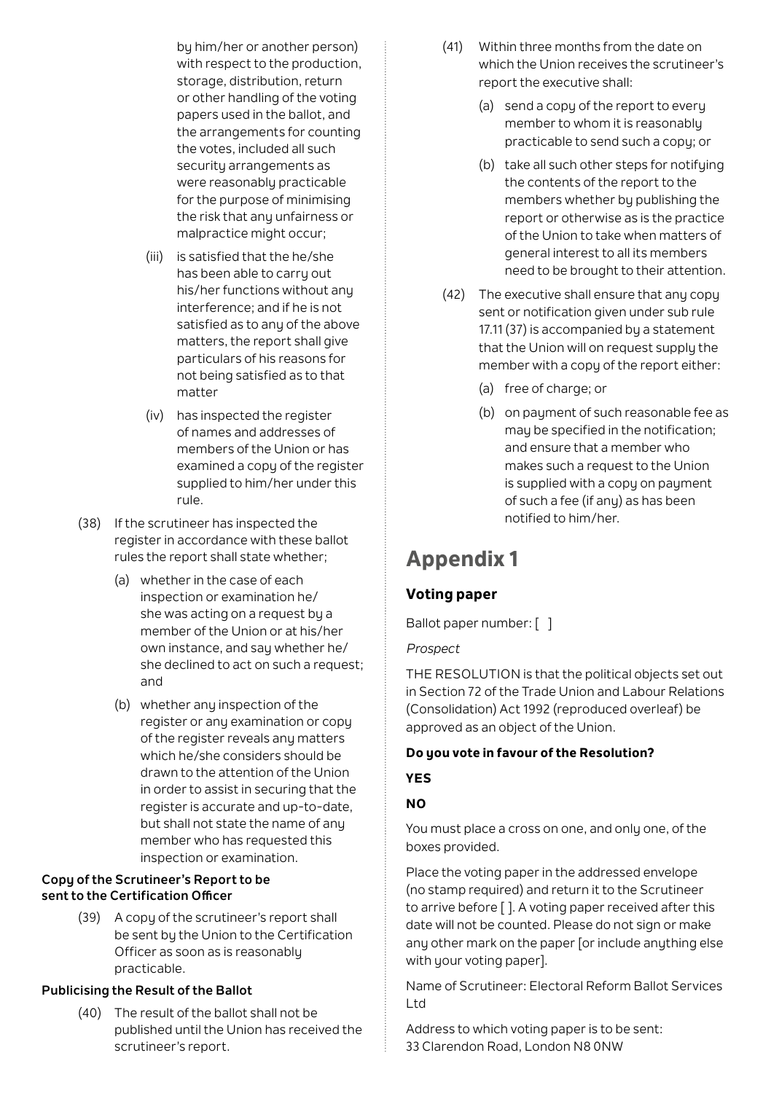by him/her or another person) with respect to the production, storage, distribution, return or other handling of the voting papers used in the ballot, and the arrangements for counting the votes, included all such security arrangements as were reasonably practicable for the purpose of minimising the risk that any unfairness or malpractice might occur;

- (iii) is satisfied that the he/she has been able to carry out his/her functions without any interference; and if he is not satisfied as to any of the above matters, the report shall give particulars of his reasons for not being satisfied as to that matter
- (iv) has inspected the register of names and addresses of members of the Union or has examined a copy of the register supplied to him/her under this rule.
- (38) If the scrutineer has inspected the register in accordance with these ballot rules the report shall state whether;
	- (a) whether in the case of each inspection or examination he/ she was acting on a request by a member of the Union or at his/her own instance, and say whether he/ she declined to act on such a request; and
	- (b) whether any inspection of the register or any examination or copy of the register reveals any matters which he/she considers should be drawn to the attention of the Union in order to assist in securing that the register is accurate and up-to-date, but shall not state the name of any member who has requested this inspection or examination.

# **Copy of the Scrutineer's Report to be sent to the Certification Officer**

(39) A copy of the scrutineer's report shall be sent bu the Union to the Certification Officer as soon as is reasonably practicable.

# **Publicising the Result of the Ballot**

(40) The result of the ballot shall not be published until the Union has received the scrutineer's report.

- (41) Within three months from the date on which the Union receives the scrutineer's report the executive shall:
	- (a) send a copy of the report to every member to whom it is reasonably practicable to send such a copy; or
	- (b) take all such other steps for notifying the contents of the report to the members whether by publishing the report or otherwise as is the practice of the Union to take when matters of general interest to all its members need to be brought to their attention.
- (42) The executive shall ensure that any copy sent or notification given under sub rule 17.11 (37) is accompanied by a statement that the Union will on request supply the member with a copy of the report either:
	- (a) free of charge; or
	- (b) on payment of such reasonable fee as may be specified in the notification; and ensure that a member who makes such a request to the Union is supplied with a copy on payment of such a fee (if any) as has been notified to him/her.

# **Appendix 1**

# **Voting paper**

Ballot paper number: [ ]

*Prospect*

THE RESOLUTION is that the political objects set out in Section 72 of the Trade Union and Labour Relations (Consolidation) Act 1992 (reproduced overleaf) be approved as an object of the Union.

# **Do you vote in favour of the Resolution?**

# **YES**

# **NO**

You must place a cross on one, and only one, of the boxes provided.

Place the voting paper in the addressed envelope (no stamp required) and return it to the Scrutineer to arrive before [ ]. A voting paper received after this date will not be counted. Please do not sign or make any other mark on the paper [or include anything else with your voting paper].

Name of Scrutineer: Electoral Reform Ballot Services Ltd

Address to which voting paper is to be sent: 33 Clarendon Road, London N8 0NW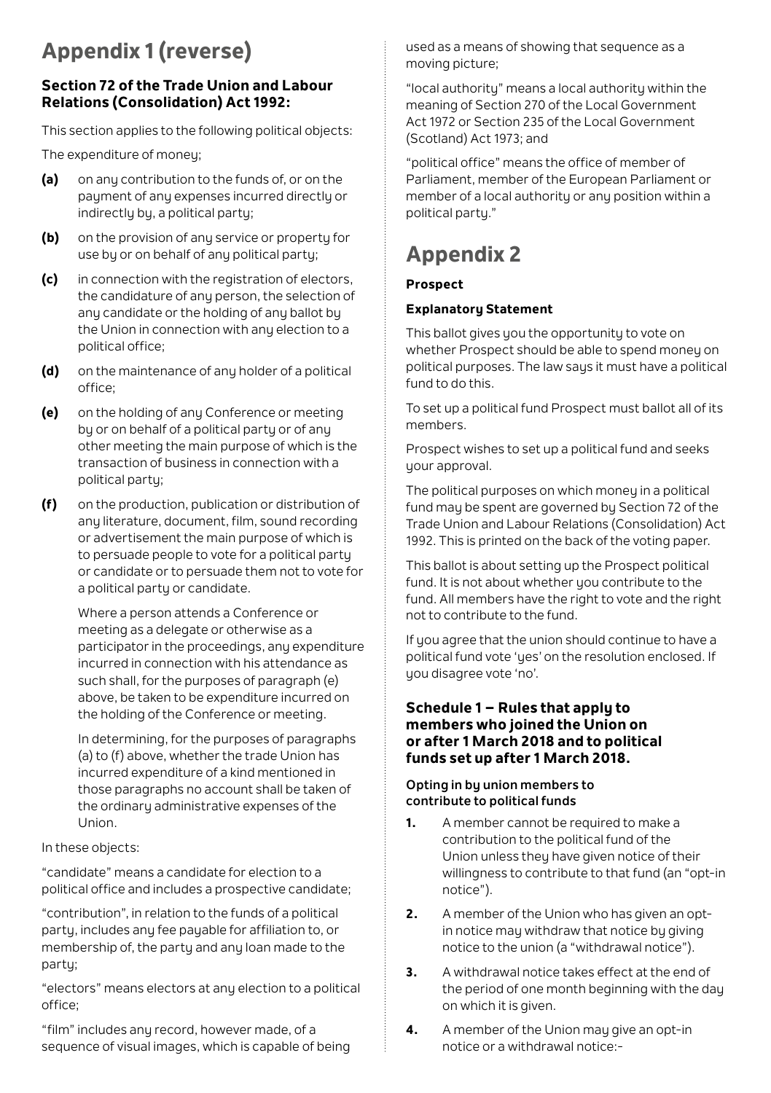# **Appendix 1 (reverse)**

# **Section 72 of the Trade Union and Labour Relations (Consolidation) Act 1992:**

This section applies to the following political objects:

The expenditure of money;

- **(a)** on any contribution to the funds of, or on the payment of any expenses incurred directly or indirectly by, a political party;
- **(b)** on the provision of any service or property for use by or on behalf of any political party;
- **(c)** in connection with the registration of electors, the candidature of any person, the selection of any candidate or the holding of any ballot by the Union in connection with any election to a political office;
- **(d)** on the maintenance of any holder of a political office;
- **(e)** on the holding of any Conference or meeting by or on behalf of a political party or of any other meeting the main purpose of which is the transaction of business in connection with a political party;
- **(f)** on the production, publication or distribution of any literature, document, film, sound recording or advertisement the main purpose of which is to persuade people to vote for a political party or candidate or to persuade them not to vote for a political party or candidate.

Where a person attends a Conference or meeting as a delegate or otherwise as a participator in the proceedings, any expenditure incurred in connection with his attendance as such shall, for the purposes of paragraph (e) above, be taken to be expenditure incurred on the holding of the Conference or meeting.

In determining, for the purposes of paragraphs (a) to (f) above, whether the trade Union has incurred expenditure of a kind mentioned in those paragraphs no account shall be taken of the ordinary administrative expenses of the Union.

In these objects:

"candidate" means a candidate for election to a political office and includes a prospective candidate;

"contribution", in relation to the funds of a political party, includes any fee payable for affiliation to, or membership of, the party and any loan made to the party;

"electors" means electors at any election to a political office;

"film" includes any record, however made, of a sequence of visual images, which is capable of being used as a means of showing that sequence as a moving picture;

"local authority" means a local authority within the meaning of Section 270 of the Local Government Act 1972 or Section 235 of the Local Government (Scotland) Act 1973; and

"political office" means the office of member of Parliament, member of the European Parliament or member of a local authority or any position within a political party."

# **Appendix 2**

# **Prospect**

# **Explanatory Statement**

This ballot gives you the opportunity to vote on whether Prospect should be able to spend money on political purposes. The law says it must have a political fund to do this.

To set up a political fund Prospect must ballot all of its members.

Prospect wishes to set up a political fund and seeks your approval.

The political purposes on which money in a political fund may be spent are governed by Section 72 of the Trade Union and Labour Relations (Consolidation) Act 1992. This is printed on the back of the voting paper.

This ballot is about setting up the Prospect political fund. It is not about whether you contribute to the fund. All members have the right to vote and the right not to contribute to the fund.

If you agree that the union should continue to have a political fund vote 'ues' on the resolution enclosed. If you disagree vote 'no'.

# **Schedule 1 – Rules that apply to members who joined the Union on or after 1 March 2018 and to political funds set up after 1 March 2018.**

# **Opting in by union members to contribute to political funds**

- **1.** A member cannot be required to make a contribution to the political fund of the Union unless they have given notice of their willingness to contribute to that fund (an "opt-in notice").
- **2.** A member of the Union who has given an optin notice may withdraw that notice by giving notice to the union (a "withdrawal notice").
- **3.** A withdrawal notice takes effect at the end of the period of one month beginning with the day on which it is given.
- **4.** A member of the Union may give an opt-in notice or a withdrawal notice:-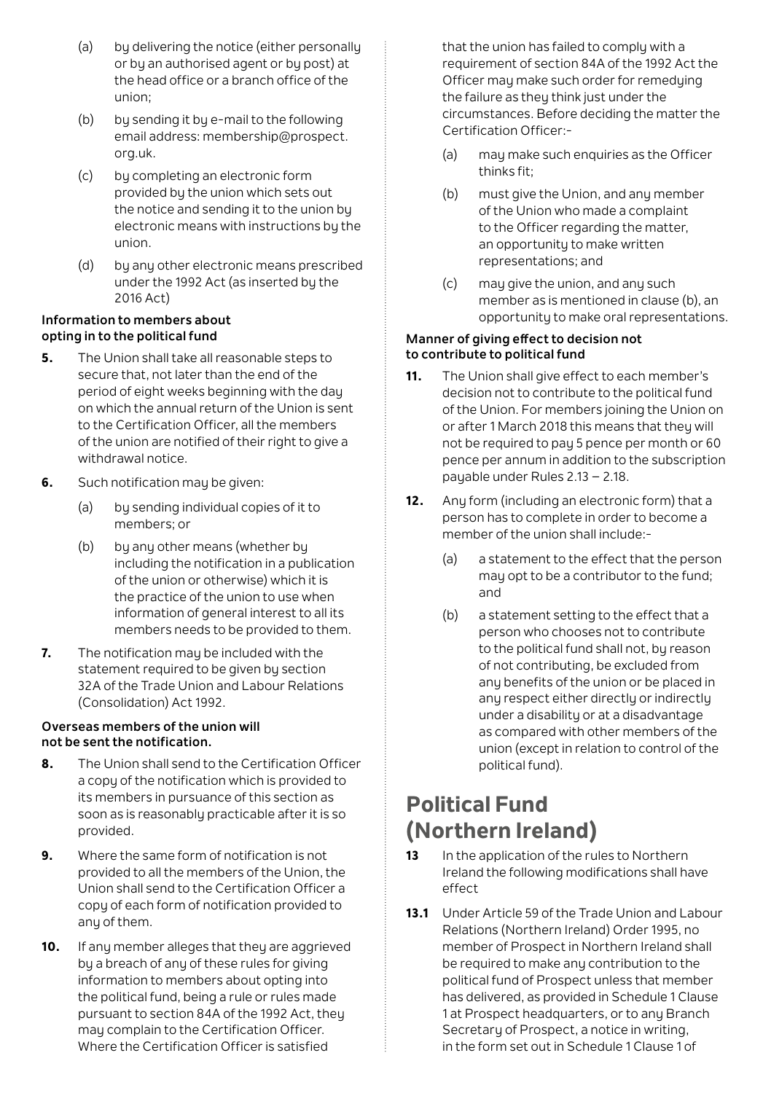- (a) by delivering the notice (either personally or by an authorised agent or by post) at the head office or a branch office of the union;
- (b) by sending it by e-mail to the following email address: membership@prospect. org.uk.
- (c) by completing an electronic form provided by the union which sets out the notice and sending it to the union by electronic means with instructions by the union.
- (d) by any other electronic means prescribed under the 1992 Act (as inserted by the 2016 Act)

#### **Information to members about opting in to the political fund**

- **5.** The Union shall take all reasonable steps to secure that, not later than the end of the period of eight weeks beginning with the day on which the annual return of the Union is sent to the Certification Officer, all the members of the union are notified of their right to give a withdrawal notice.
- **6.** Such notification may be given:
	- (a) by sending individual copies of it to members; or
	- (b) by any other means (whether by including the notification in a publication of the union or otherwise) which it is the practice of the union to use when information of general interest to all its members needs to be provided to them.
- **7.** The notification may be included with the statement required to be given by section 32A of the Trade Union and Labour Relations (Consolidation) Act 1992.

# **Overseas members of the union will not be sent the notification.**

- **8.** The Union shall send to the Certification Officer a copy of the notification which is provided to its members in pursuance of this section as soon as is reasonably practicable after it is so provided.
- **9.** Where the same form of notification is not provided to all the members of the Union, the Union shall send to the Certification Officer a copy of each form of notification provided to any of them.
- 10. If any member alleges that they are aggrieved by a breach of any of these rules for giving information to members about opting into the political fund, being a rule or rules made pursuant to section 84A of the 1992 Act, they may complain to the Certification Officer. Where the Certification Officer is satisfied

that the union has failed to complu with a requirement of section 84A of the 1992 Act the Officer may make such order for remeduing the failure as they think just under the circumstances. Before deciding the matter the Certification Officer:-

- (a) may make such enquiries as the Officer thinks fit;
- (b) must give the Union, and any member of the Union who made a complaint to the Officer regarding the matter, an opportunity to make written representations; and
- (c) may give the union, and any such member as is mentioned in clause (b), an opportunity to make oral representations.

# **Manner of giving effect to decision not to contribute to political fund**

- **11.** The Union shall give effect to each member's decision not to contribute to the political fund of the Union. For members joining the Union on or after 1 March 2018 this means that they will not be required to pay 5 pence per month or 60 pence per annum in addition to the subscription payable under Rules 2.13 – 2.18.
- **12.** Any form (including an electronic form) that a person has to complete in order to become a member of the union shall include:-
	- (a) a statement to the effect that the person may opt to be a contributor to the fund; and
	- (b) a statement setting to the effect that a person who chooses not to contribute to the political fund shall not, by reason of not contributing, be excluded from any benefits of the union or be placed in any respect either directly or indirectly under a disability or at a disadvantage as compared with other members of the union (except in relation to control of the political fund).

# **Political Fund (Northern Ireland)**

- 13 In the application of the rules to Northern Ireland the following modifications shall have effect
- **13.1** Under Article 59 of the Trade Union and Labour Relations (Northern Ireland) Order 1995, no member of Prospect in Northern Ireland shall be required to make any contribution to the political fund of Prospect unless that member has delivered, as provided in Schedule 1 Clause 1 at Prospect headquarters, or to any Branch Secretary of Prospect, a notice in writing. in the form set out in Schedule 1 Clause 1 of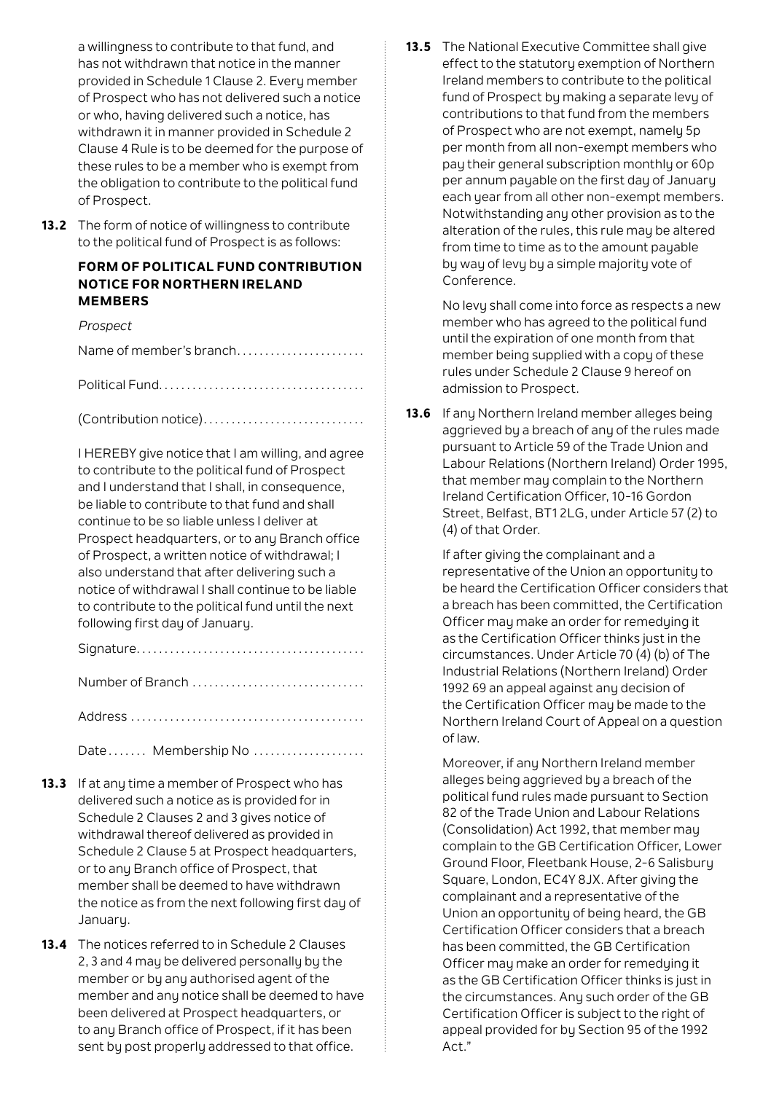a willingness to contribute to that fund, and has not withdrawn that notice in the manner provided in Schedule 1 Clause 2. Every member of Prospect who has not delivered such a notice or who, having delivered such a notice, has withdrawn it in manner provided in Schedule 2 Clause 4 Rule is to be deemed for the purpose of these rules to be a member who is exempt from the obligation to contribute to the political fund of Prospect.

**13.2** The form of notice of willingness to contribute to the political fund of Prospect is as follows:

# **FORM OF POLITICAL FUND CONTRIBUTION NOTICE FOR NORTHERN IRELAND MEMBERS**

#### *Prospect*

Name of member's branch........................

Political Fund. .

(Contribution notice). .

I HEREBY give notice that I am willing, and agree to contribute to the political fund of Prospect and I understand that I shall, in consequence, be liable to contribute to that fund and shall continue to be so liable unless I deliver at Prospect headquarters, or to any Branch office of Prospect, a written notice of withdrawal; I also understand that after delivering such a notice of withdrawal I shall continue to be liable to contribute to the political fund until the next following first day of January.

Signature. .

| Number of Branch |  |
|------------------|--|
|                  |  |

Date....... Membership No ....................

- 13.3 If at any time a member of Prospect who has delivered such a notice as is provided for in Schedule 2 Clauses 2 and 3 gives notice of withdrawal thereof delivered as provided in Schedule 2 Clause 5 at Prospect headquarters, or to any Branch office of Prospect, that member shall be deemed to have withdrawn the notice as from the next following first day of January.
- **13.4** The notices referred to in Schedule 2 Clauses 2, 3 and 4 may be delivered personally by the member or by any authorised agent of the member and any notice shall be deemed to have been delivered at Prospect headquarters, or to any Branch office of Prospect, if it has been sent by post properly addressed to that office.

**13.5** The National Executive Committee shall give effect to the statutory exemption of Northern Ireland members to contribute to the political fund of Prospect by making a separate levy of contributions to that fund from the members of Prospect who are not exempt, namely 5p per month from all non-exempt members who pay their general subscription monthly or 60p per annum pauable on the first day of January each year from all other non-exempt members. Notwithstanding any other provision as to the alteration of the rules, this rule may be altered from time to time as to the amount payable by way of levy by a simple majority vote of Conference.

> No levy shall come into force as respects a new member who has agreed to the political fund until the expiration of one month from that member being supplied with a copy of these rules under Schedule 2 Clause 9 hereof on admission to Prospect.

**13.6** If any Northern Ireland member alleges being aggrieved by a breach of any of the rules made pursuant to Article 59 of the Trade Union and Labour Relations (Northern Ireland) Order 1995, that member may complain to the Northern Ireland Certification Officer, 10-16 Gordon Street, Belfast, BT1 2LG, under Article 57 (2) to (4) of that Order.

> If after giving the complainant and a representative of the Union an opportunity to be heard the Certification Officer considers that a breach has been committed, the Certification Officer may make an order for remedying it as the Certification Officer thinks just in the circumstances. Under Article 70 (4) (b) of The Industrial Relations (Northern Ireland) Order 1992 69 an appeal against any decision of the Certification Officer may be made to the Northern Ireland Court of Appeal on a question of law.

Moreover, if any Northern Ireland member alleges being aggrieved by a breach of the political fund rules made pursuant to Section 82 of the Trade Union and Labour Relations (Consolidation) Act 1992, that member may complain to the GB Certification Officer, Lower Ground Floor, Fleetbank House, 2-6 Salisbury Square, London, EC4Y 8JX. After giving the complainant and a representative of the Union an opportunity of being heard, the GB Certification Officer considers that a breach has been committed, the GB Certification Officer may make an order for remedying it as the GB Certification Officer thinks is just in the circumstances. Any such order of the GB Certification Officer is subject to the right of appeal provided for by Section 95 of the 1992  $Art$ "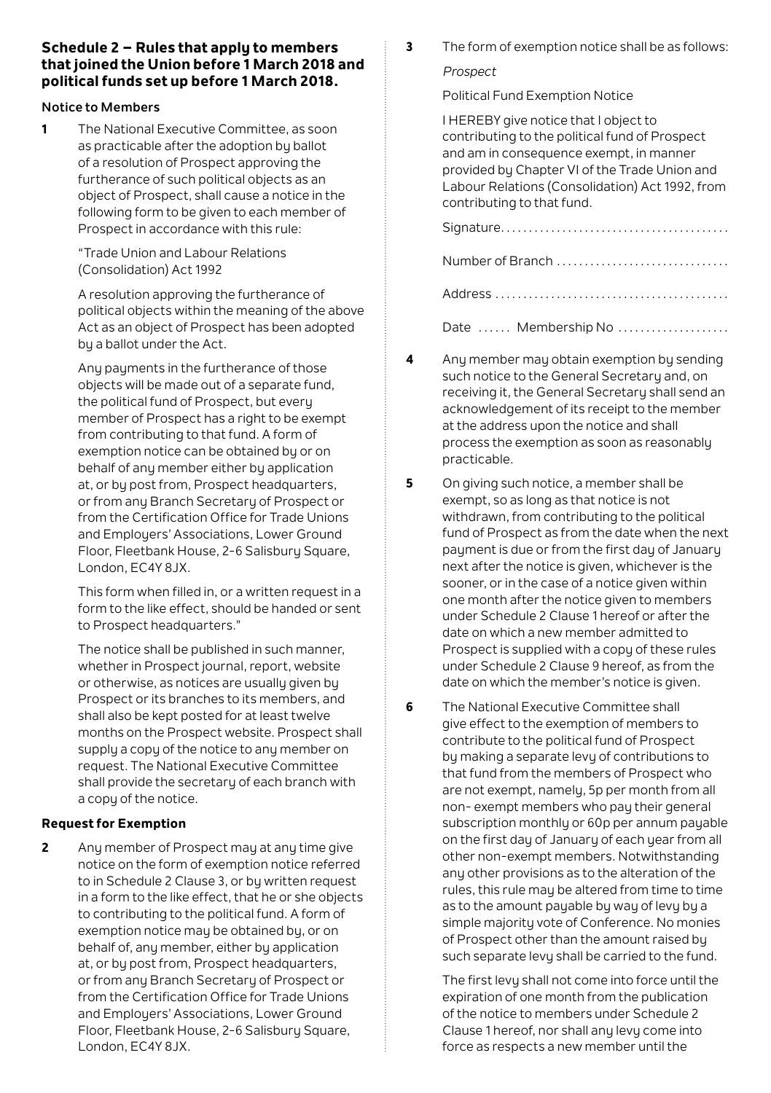# **Schedule 2 – Rules that apply to members that joined the Union before 1 March 2018 and political funds set up before 1 March 2018.**

### **Notice to Members**

**1** The National Executive Committee, as soon as practicable after the adoption by ballot of a resolution of Prospect approving the furtherance of such political objects as an object of Prospect, shall cause a notice in the following form to be given to each member of Prospect in accordance with this rule:

> "Trade Union and Labour Relations (Consolidation) Act 1992

A resolution approving the furtherance of political objects within the meaning of the above Act as an object of Prospect has been adopted by a ballot under the Act.

Any payments in the furtherance of those objects will be made out of a separate fund, the political fund of Prospect, but every member of Prospect has a right to be exempt from contributing to that fund. A form of exemption notice can be obtained by or on behalf of any member either by application at, or bu post from, Prospect headquarters or from any Branch Secretary of Prospect or from the Certification Office for Trade Unions and Employers' Associations, Lower Ground Floor, Fleetbank House, 2-6 Salisbury Square, London, EC4Y 8JX.

This form when filled in, or a written request in a form to the like effect, should be handed or sent to Prospect headquarters."

The notice shall be published in such manner, whether in Prospect journal, report, website or otherwise, as notices are usually given by Prospect or its branches to its members, and shall also be kept posted for at least twelve months on the Prospect website. Prospect shall supply a copy of the notice to any member on request. The National Executive Committee shall provide the secretary of each branch with a copy of the notice.

# **Request for Exemption**

**2** Any member of Prospect may at any time give notice on the form of exemption notice referred to in Schedule 2 Clause 3, or by written request in a form to the like effect, that he or she objects to contributing to the political fund. A form of exemption notice may be obtained by, or on behalf of, any member, either by application at, or bu post from, Prospect headquarters, or from any Branch Secretary of Prospect or from the Certification Office for Trade Unions and Employers' Associations, Lower Ground Floor, Fleetbank House, 2-6 Salisbury Square, London, EC4Y 8JX.

**3** The form of exemption notice shall be as follows:

### *Prospect*

Political Fund Exemption Notice

I HEREBY give notice that I object to contributing to the political fund of Prospect and am in consequence exempt, in manner provided by Chapter VI of the Trade Union and Labour Relations (Consolidation) Act 1992, from contributing to that fund.

Signature. . Number of Branch ................................. Address . Date ...... Membership No ....................

- **4** Any member may obtain exemption by sending such notice to the General Secretary and, on receiving it, the General Secretary shall send an acknowledgement of its receipt to the member at the address upon the notice and shall process the exemption as soon as reasonably practicable.
- **5** On giving such notice, a member shall be exempt, so as long as that notice is not withdrawn, from contributing to the political fund of Prospect as from the date when the next payment is due or from the first day of January next after the notice is given, whichever is the sooner, or in the case of a notice given within one month after the notice given to members under Schedule 2 Clause 1 hereof or after the date on which a new member admitted to Prospect is supplied with a copy of these rules under Schedule 2 Clause 9 hereof, as from the date on which the member's notice is given.
- **6** The National Executive Committee shall give effect to the exemption of members to contribute to the political fund of Prospect by making a separate levy of contributions to that fund from the members of Prospect who are not exempt, namely, 5p per month from all non- exempt members who pay their general subscription monthly or 60p per annum payable on the first day of January of each year from all other non-exempt members. Notwithstanding any other provisions as to the alteration of the rules, this rule may be altered from time to time as to the amount pauable bu way of levy by a simple majority vote of Conference. No monies of Prospect other than the amount raised by such separate levy shall be carried to the fund.

The first levy shall not come into force until the expiration of one month from the publication of the notice to members under Schedule 2 Clause 1 hereof, nor shall any levy come into force as respects a new member until the